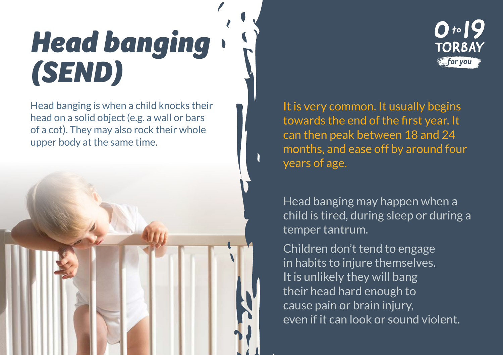## *Head banging (SEND)*

Head banging is when a child knocks their head on a solid object (e.g. a wall or bars of a cot). They may also rock their whole upper body at the same time.



It is very common. It usually begins towards the end of the first year. It can then peak between 18 and 24 months, and ease off by around four years of age.

 $0.19$ 

**TORBAY** for you

Head banging may happen when a child is tired, during sleep or during a temper tantrum.

Children don't tend to engage in habits to injure themselves. It is unlikely they will bang their head hard enough to cause pain or brain injury, even if it can look or sound violent.